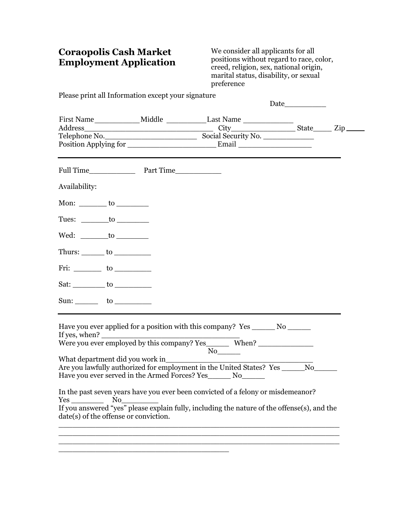## **Coraopolis Cash Market Employment Application**

We consider all applicants for all positions without regard to race, color, creed, religion, sex, national origin, marital status, disability, or sexual preference

Please print all Information except your signature

\_\_\_\_\_\_\_\_\_\_\_\_\_\_\_\_\_\_\_\_\_\_\_\_\_\_\_\_\_\_\_\_\_\_\_\_\_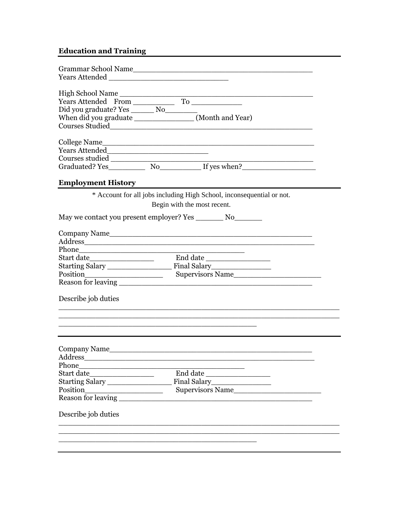## **Education and Training**

| <b>Employment History</b>                    |                                                                       |
|----------------------------------------------|-----------------------------------------------------------------------|
|                                              | * Account for all jobs including High School, inconsequential or not. |
|                                              | Begin with the most recent.                                           |
|                                              |                                                                       |
|                                              |                                                                       |
|                                              | Company Name                                                          |
|                                              |                                                                       |
|                                              |                                                                       |
| Start date____________________               |                                                                       |
|                                              |                                                                       |
|                                              |                                                                       |
|                                              | Position Supervisors Name                                             |
|                                              |                                                                       |
| Describe job duties                          |                                                                       |
|                                              |                                                                       |
|                                              |                                                                       |
|                                              |                                                                       |
|                                              |                                                                       |
|                                              |                                                                       |
|                                              |                                                                       |
| the control of the control of the control of |                                                                       |
|                                              | $End\ date$                                                           |
| Company Name<br>Address                      |                                                                       |
| Phone<br>Position                            |                                                                       |
| Reason for leaving                           |                                                                       |
| Describe job duties                          |                                                                       |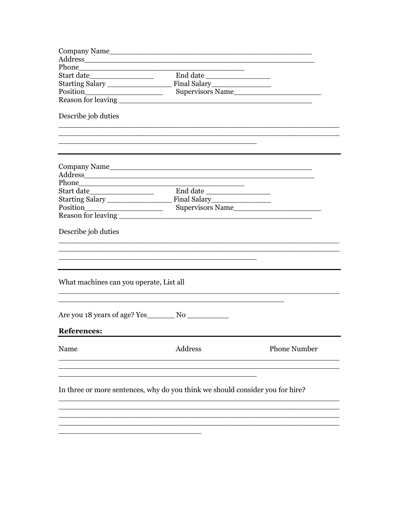| Address                                                                       |                  |                     |
|-------------------------------------------------------------------------------|------------------|---------------------|
|                                                                               |                  |                     |
| Start date___________________                                                 |                  |                     |
|                                                                               |                  |                     |
|                                                                               | Supervisors Name |                     |
|                                                                               |                  |                     |
| Describe job duties                                                           |                  |                     |
|                                                                               |                  |                     |
|                                                                               |                  |                     |
| Phone                                                                         |                  |                     |
|                                                                               |                  |                     |
|                                                                               |                  |                     |
|                                                                               |                  |                     |
|                                                                               |                  |                     |
| Describe job duties                                                           |                  |                     |
|                                                                               |                  |                     |
| What machines can you operate, List all                                       |                  |                     |
|                                                                               |                  |                     |
| <b>References:</b>                                                            |                  |                     |
| Name                                                                          | Address          | <b>Phone Number</b> |
| In three or more sentences, why do you think we should consider you for hire? |                  |                     |
|                                                                               |                  |                     |